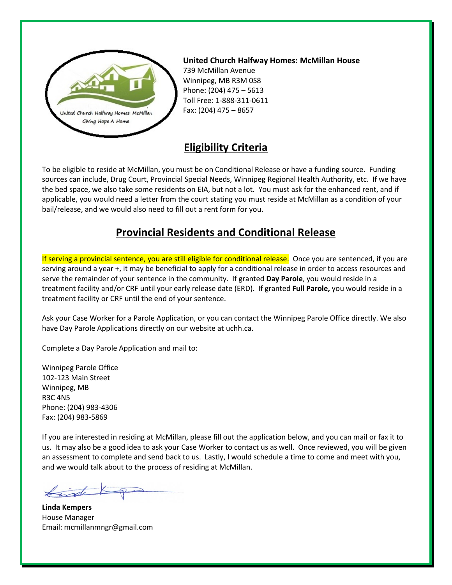

## **United Church Halfway Homes: McMillan House**

739 McMillan Avenue Winnipeg, MB R3M 0S8 Phone: (204) 475 – 5613 Toll Free: 1-888-311-0611 Fax: (204) 475 – 8657

## **Eligibility Criteria**

To be eligible to reside at McMillan, you must be on Conditional Release or have a funding source. Funding sources can include, Drug Court, Provincial Special Needs, Winnipeg Regional Health Authority, etc. If we have the bed space, we also take some residents on EIA, but not a lot. You must ask for the enhanced rent, and if applicable, you would need a letter from the court stating you must reside at McMillan as a condition of your bail/release, and we would also need to fill out a rent form for you.

## **Provincial Residents and Conditional Release**

If serving a provincial sentence, you are still eligible for conditional release. Once you are sentenced, if you are serving around a year +, it may be beneficial to apply for a conditional release in order to access resources and serve the remainder of your sentence in the community. If granted **Day Parole**, you would reside in a treatment facility and/or CRF until your early release date (ERD). If granted **Full Parole,** you would reside in a treatment facility or CRF until the end of your sentence.

Ask your Case Worker for a Parole Application, or you can contact the Winnipeg Parole Office directly. We also have Day Parole Applications directly on our website at uchh.ca.

Complete a Day Parole Application and mail to:

Winnipeg Parole Office 102-123 Main Street Winnipeg, MB R3C 4N5 Phone: (204) 983-4306 Fax: (204) 983-5869

If you are interested in residing at McMillan, please fill out the application below, and you can mail or fax it to us. It may also be a good idea to ask your Case Worker to contact us as well. Once reviewed, you will be given an assessment to complete and send back to us. Lastly, I would schedule a time to come and meet with you, and we would talk about to the process of residing at McMillan.

finde

**Linda Kempers** House Manager Email: mcmillanmngr@gmail.com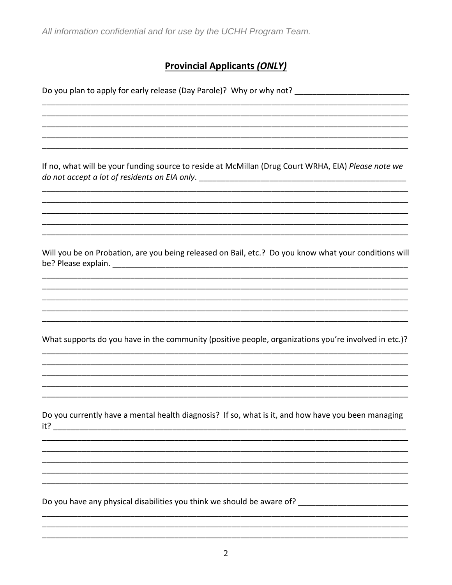## **Provincial Applicants (ONLY)**

Do you plan to apply for early release (Day Parole)? Why or why not?

If no, what will be your funding source to reside at McMillan (Drug Court WRHA, EIA) Please note we 

Will you be on Probation, are you being released on Bail, etc.? Do you know what your conditions will 

What supports do you have in the community (positive people, organizations you're involved in etc.)?

Do you currently have a mental health diagnosis? If so, what is it, and how have you been managing  $it?$